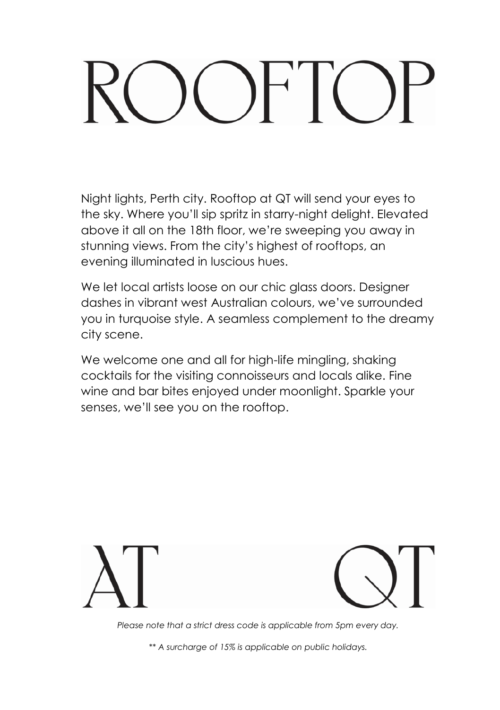# $\left( \begin{array}{c} \end{array} \right)$   $\left[ \begin{array}{c} \end{array} \right]$   $\left( \begin{array}{c} \end{array} \right)$

Night lights, Perth city. Rooftop at QT will send your eyes to the sky. Where you'll sip spritz in starry-night delight. Elevated above it all on the 18th floor, we're sweeping you away in stunning views. From the city's highest of rooftops, an evening illuminated in luscious hues.

We let local artists loose on our chic glass doors. Designer dashes in vibrant west Australian colours, we've surrounded you in turquoise style. A seamless complement to the dreamy city scene.

We welcome one and all for high-life mingling, shaking cocktails for the visiting connoisseurs and locals alike. Fine wine and bar bites enjoyed under moonlight. Sparkle your senses, we'll see you on the rooftop.





*Please note that a strict dress code is applicable from 5pm every day.*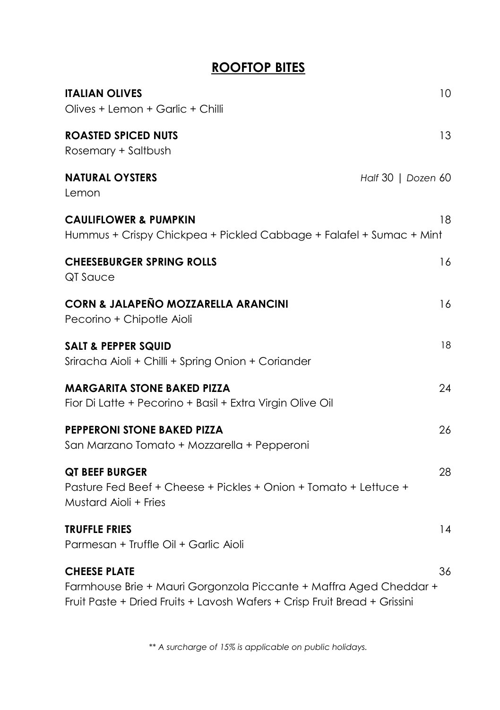#### **ROOFTOP BITES**

| <b>ITALIAN OLIVES</b><br>Olives + Lemon + Garlic + Chilli                                                          | 10                 |
|--------------------------------------------------------------------------------------------------------------------|--------------------|
| <b>ROASTED SPICED NUTS</b><br>Rosemary + Saltbush                                                                  | 13                 |
| <b>NATURAL OYSTERS</b><br>Lemon                                                                                    | Half 30   Dozen 60 |
| <b>CAULIFLOWER &amp; PUMPKIN</b><br>Hummus + Crispy Chickpea + Pickled Cabbage + Falafel + Sumac + Mint            | 18                 |
| <b>CHEESEBURGER SPRING ROLLS</b><br>QT Sauce                                                                       | 16                 |
| <b>CORN &amp; JALAPENO MOZZARELLA ARANCINI</b><br>Pecorino + Chipotle Aioli                                        | 16                 |
| <b>SALT &amp; PEPPER SQUID</b><br>Sriracha Aioli + Chilli + Spring Onion + Coriander                               | 18                 |
| <b>MARGARITA STONE BAKED PIZZA</b><br>Fior Di Latte + Pecorino + Basil + Extra Virgin Olive Oil                    | 24                 |
| <b>PEPPERONI STONE BAKED PIZZA</b><br>San Marzano Tomato + Mozzarella + Pepperoni                                  | 26                 |
| <b>QT BEEF BURGER</b><br>Pasture Fed Beef + Cheese + Pickles + Onion + Tomato + Lettuce +<br>Mustard Aioli + Fries | 28                 |
| <b>TRUFFLE FRIES</b><br>Parmesan + Truffle Oil + Garlic Aioli                                                      | 14                 |
| <b>CHEESE PLATE</b><br>Farmhouse Brie + Mauri Gorgonzola Piccante + Maffra Aged Cheddar +                          | 36                 |

Fruit Paste + Dried Fruits + Lavosh Wafers + Crisp Fruit Bread + Grissini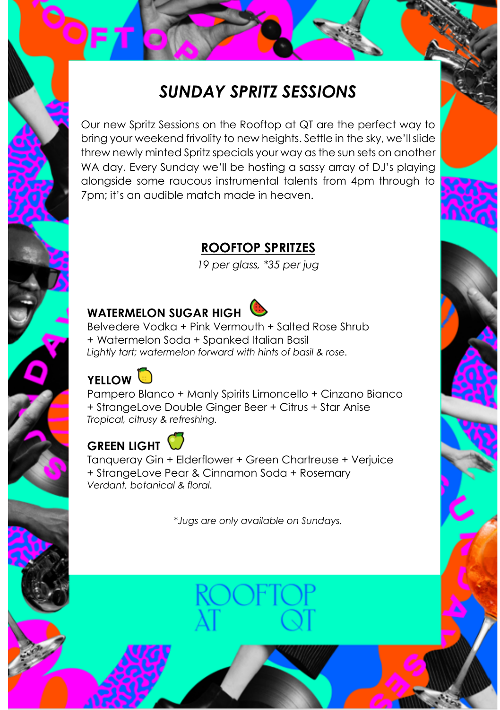# *SUNDAY SPRITZ SESSIONS*

Our new Spritz Sessions on the Rooftop at QT are the perfect way to bring your weekend frivolity to new heights. Settle in the sky, we'll slide threw newly minted Spritz specials your way as the sun sets on another WA day. Every Sunday we'll be hosting a sassy array of DJ's playing alongside some raucous instrumental talents from 4pm through to 7pm; it's an audible match made in heaven.

# **ROOFTOP SPRITZES**

*19 per glass, \*35 per jug*

# **WATERMELON SUGAR HIGH**



Belvedere Vodka + Pink Vermouth + Salted Rose Shrub + Watermelon Soda + Spanked Italian Basil *Lightly tart; watermelon forward with hints of basil & rose.*



Pampero Blanco + Manly Spirits Limoncello + Cinzano Bianco + StrangeLove Double Ginger Beer + Citrus + Star Anise *Tropical, citrusy & refreshing.*

# **GREEN LIGHT**

Tanqueray Gin + Elderflower + Green Chartreuse + Verjuice + StrangeLove Pear & Cinnamon Soda + Rosemary *Verdant, botanical & floral.* 

\**Jugs are only available on Sundays.*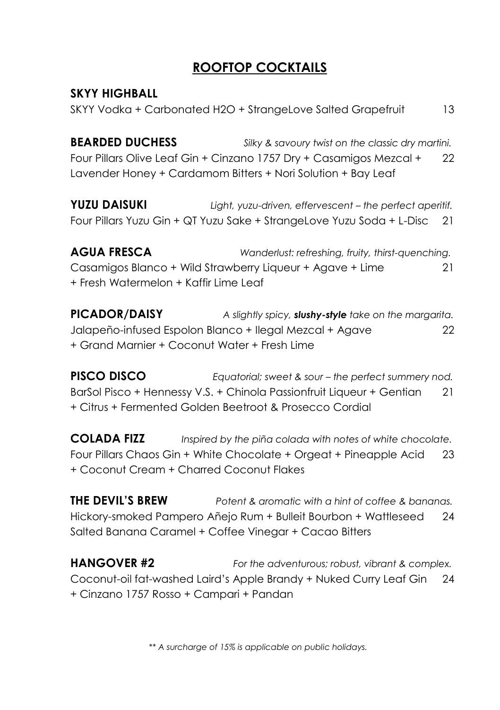#### **ROOFTOP COCKTAILS**

**SKYY HIGHBALL** SKYY Vodka + Carbonated H2O + StrangeLove Salted Grapefruit 13

**BEARDED DUCHESS** *Silky & savoury twist on the classic dry martini.* Four Pillars Olive Leaf Gin + Cinzano 1757 Dry + Casamigos Mezcal + Lavender Honey + Cardamom Bitters + Nori Solution + Bay Leaf  $22$ 

**YUZU DAISUKI** *Light, yuzu-driven, effervescent – the perfect aperitif.* Four Pillars Yuzu Gin + QT Yuzu Sake + StrangeLove Yuzu Soda + L-Disc 21

**AGUA FRESCA** *Wanderlust: refreshing, fruity, thirst-quenching.* Casamigos Blanco + Wild Strawberry Liqueur + Agave + Lime + Fresh Watermelon + Kaffir Lime Leaf 21

**PICADOR/DAISY** *A slightly spicy, slushy-style take on the margarita.* Jalapeño-infused Espolon Blanco + Ilegal Mezcal + Agave + Grand Marnier + Coconut Water + Fresh Lime  $22$ 

**PISCO DISCO** *Equatorial; sweet & sour – the perfect summery nod.* BarSol Pisco + Hennessy V.S. + Chinola Passionfruit Liqueur + Gentian + Citrus + Fermented Golden Beetroot & Prosecco Cordial 21

**COLADA FIZZ** *Inspired by the piña colada with notes of white chocolate.* Four Pillars Chaos Gin + White Chocolate + Orgeat + Pineapple Acid + Coconut Cream + Charred Coconut Flakes 23

**THE DEVIL'S BREW** *Potent & aromatic with a hint of coffee & bananas.* Hickory-smoked Pampero Añejo Rum + Bulleit Bourbon + Wattleseed Salted Banana Caramel + Coffee Vinegar + Cacao Bitters 24

**HANGOVER #2** *For the adventurous; robust, vibrant & complex.* Coconut-oil fat-washed Laird's Apple Brandy + Nuked Curry Leaf Gin + Cinzano 1757 Rosso + Campari + Pandan 24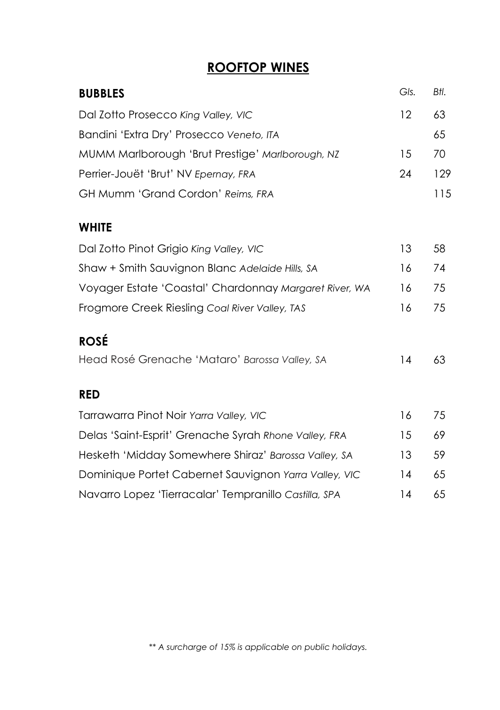### **ROOFTOP WINES**

| <b>BUBBLES</b>                                         | Gls. | Btl. |
|--------------------------------------------------------|------|------|
| Dal Zotto Prosecco King Valley, VIC                    | 12   | 63   |
| Bandini 'Extra Dry' Prosecco Veneto, ITA               |      | 65   |
| MUMM Marlborough 'Brut Prestige' Marlborough, NZ       | 15   | 70   |
| Perrier-Jouët 'Brut' NV Epernay, FRA                   | 24   | 129  |
| <b>GH Mumm 'Grand Cordon' Reims, FRA</b>               |      | 115  |
| <b>WHITE</b>                                           |      |      |
| Dal Zotto Pinot Grigio King Valley, VIC                | 13   | 58   |
| Shaw + Smith Sauvignon Blanc Adelaide Hills, SA        | 16   | 74   |
| Voyager Estate 'Coastal' Chardonnay Margaret River, WA | 16   | 75   |
| Frogmore Creek Riesling Coal River Valley, TAS         | 16   | 75   |
| <b>ROSÉ</b>                                            |      |      |
| Head Rosé Grenache 'Mataro' Barossa Valley, SA         | 14   | 63   |
| <b>RED</b>                                             |      |      |
| Tarrawarra Pinot Noir Yarra Valley, VIC                | 16   | 75   |
| Delas 'Saint-Esprit' Grenache Syrah Rhone Valley, FRA  | 15   | 69   |
| Hesketh 'Midday Somewhere Shiraz' Barossa Valley, SA   | 13   | 59   |
| Dominique Portet Cabernet Sauvignon Yarra Valley, VIC  | 14   | 65   |
| Navarro Lopez 'Tierracalar' Tempranillo Castilla, SPA  | 14   | 65   |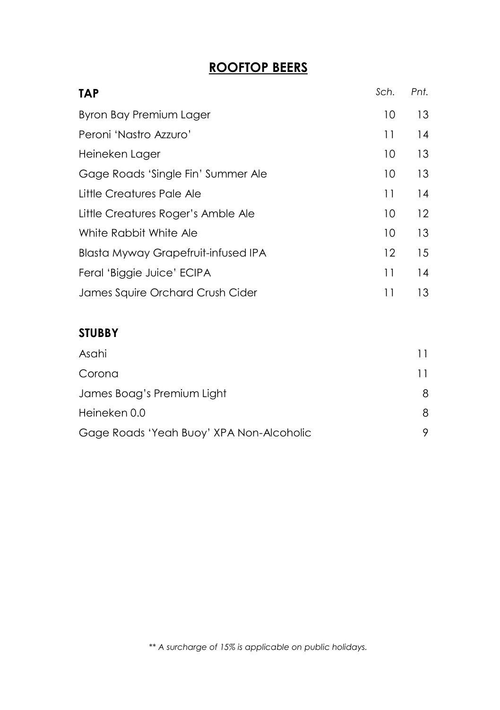## **ROOFTOP BEERS**

| <b>TAP</b>                                 | Sch.            | Pnt. |
|--------------------------------------------|-----------------|------|
| Byron Bay Premium Lager                    | 10              | 13   |
| Peroni 'Nastro Azzuro'                     | 11              | 14   |
| Heineken Lager                             | 10              | 13   |
| Gage Roads 'Single Fin' Summer Ale         | 10              | 13   |
| Little Creatures Pale Ale                  | 11              | 14   |
| Little Creatures Roger's Amble Ale         | 10              | 12   |
| White Rabbit White Ale                     | 10 <sup>°</sup> | 13   |
| <b>Blasta Myway Grapefruit-infused IPA</b> | 12              | 15   |
| Feral 'Biggie Juice' ECIPA                 | 11              | 14   |
| James Squire Orchard Crush Cider           | 11              | 13   |

#### **STUBBY**

| Asahi                                    | 11 |
|------------------------------------------|----|
| Corona                                   | 11 |
| James Boag's Premium Light               | 8  |
| Heineken 0.0                             | 8  |
| Gage Roads 'Yeah Buoy' XPA Non-Alcoholic | 9  |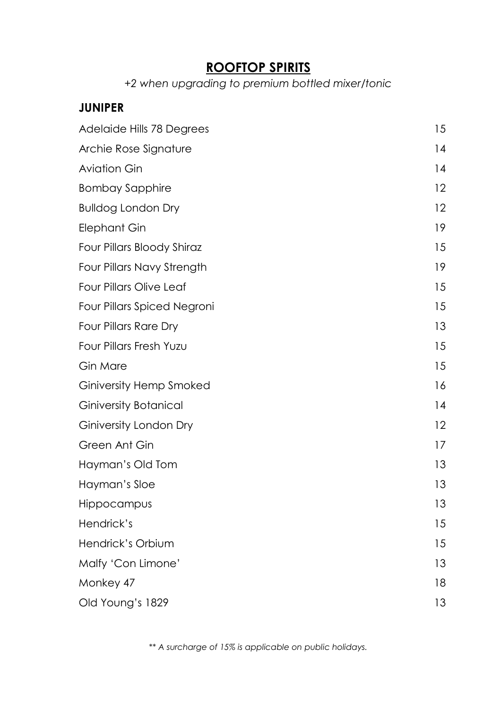#### **ROOFTOP SPIRITS**

*+2 when upgrading to premium bottled mixer/tonic*

#### **JUNIPER**

| Adelaide Hills 78 Degrees      | 15 |
|--------------------------------|----|
| Archie Rose Signature          | 14 |
| <b>Aviation Gin</b>            | 14 |
| <b>Bombay Sapphire</b>         | 12 |
| <b>Bulldog London Dry</b>      | 12 |
| <b>Elephant Gin</b>            | 19 |
| Four Pillars Bloody Shiraz     | 15 |
| Four Pillars Navy Strength     | 19 |
| Four Pillars Olive Leaf        | 15 |
| Four Pillars Spiced Negroni    | 15 |
| Four Pillars Rare Dry          | 13 |
| Four Pillars Fresh Yuzu        | 15 |
| Gin Mare                       | 15 |
| <b>Giniversity Hemp Smoked</b> | 16 |
| <b>Giniversity Botanical</b>   | 14 |
| Giniversity London Dry         | 12 |
| Green Ant Gin                  | 17 |
| Hayman's Old Tom               | 13 |
| Hayman's Sloe                  | 13 |
| Hippocampus                    | 13 |
| Hendrick's                     | 15 |
| Hendrick's Orbium              | 15 |
| Malfy 'Con Limone'             | 13 |
| Monkey 47                      | 18 |
| Old Young's 1829               | 13 |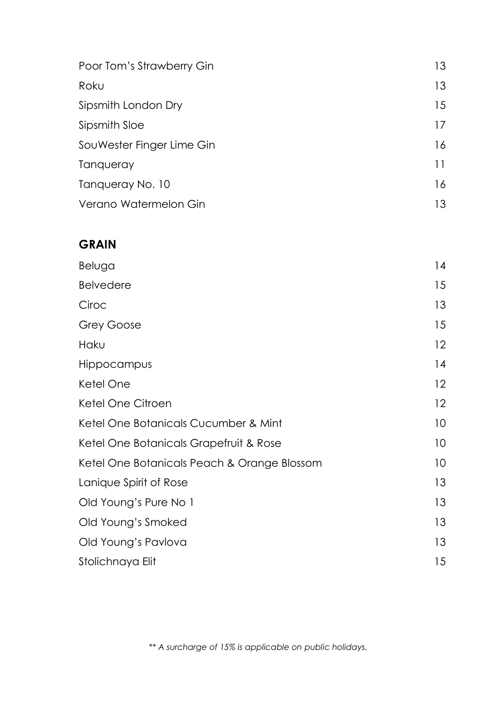| Poor Tom's Strawberry Gin | 13 |
|---------------------------|----|
| Roku                      | 13 |
| Sipsmith London Dry       | 15 |
| Sipsmith Sloe             | 17 |
| SouWester Finger Lime Gin | 16 |
| Tangueray                 | 11 |
| Tangueray No. 10          | 16 |
| Verano Watermelon Gin     | 13 |

#### **GRAIN**

| Beluga                                      | 14 |
|---------------------------------------------|----|
| <b>Belvedere</b>                            | 15 |
| Ciroc                                       | 13 |
| Grey Goose                                  | 15 |
| Haku                                        | 12 |
| Hippocampus                                 | 14 |
| Ketel One                                   | 12 |
| Ketel One Citroen                           | 12 |
| Ketel One Botanicals Cucumber & Mint        | 10 |
| Ketel One Botanicals Grapefruit & Rose      | 10 |
| Ketel One Botanicals Peach & Orange Blossom | 10 |
| Lanique Spirit of Rose                      | 13 |
| Old Young's Pure No 1                       | 13 |
| Old Young's Smoked                          | 13 |
| Old Young's Pavlova                         | 13 |
| Stolichnaya Elit                            | 15 |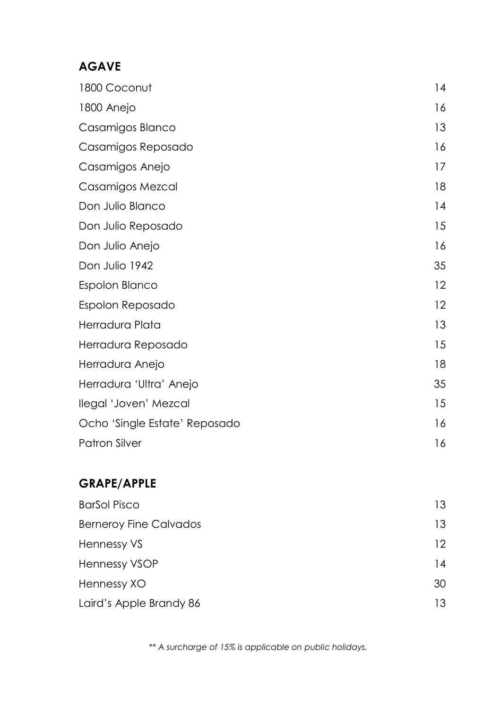#### **AGAVE**

| 1800 Coconut                  | 14 |
|-------------------------------|----|
| 1800 Anejo                    | 16 |
| Casamigos Blanco              | 13 |
| Casamigos Reposado            | 16 |
| Casamigos Anejo               | 17 |
| Casamigos Mezcal              | 18 |
| Don Julio Blanco              | 14 |
| Don Julio Reposado            | 15 |
| Don Julio Anejo               | 16 |
| Don Julio 1942                | 35 |
| Espolon Blanco                | 12 |
| Espolon Reposado              | 12 |
| Herradura Plata               | 13 |
| Herradura Reposado            | 15 |
| Herradura Anejo               | 18 |
| Herradura 'Ultra' Anejo       | 35 |
| llegal 'Joven' Mezcal         | 15 |
| Ocho 'Single Estate' Reposado | 16 |
| <b>Patron Silver</b>          | 16 |

#### **GRAPE/APPLE**

| <b>BarSol Pisco</b>           | 13              |
|-------------------------------|-----------------|
| <b>Berneroy Fine Calvados</b> | 13              |
| Hennessy VS                   | 12 <sup>°</sup> |
| <b>Hennessy VSOP</b>          | 14              |
| Hennessy XO                   | 30              |
| Laird's Apple Brandy 86       | 13              |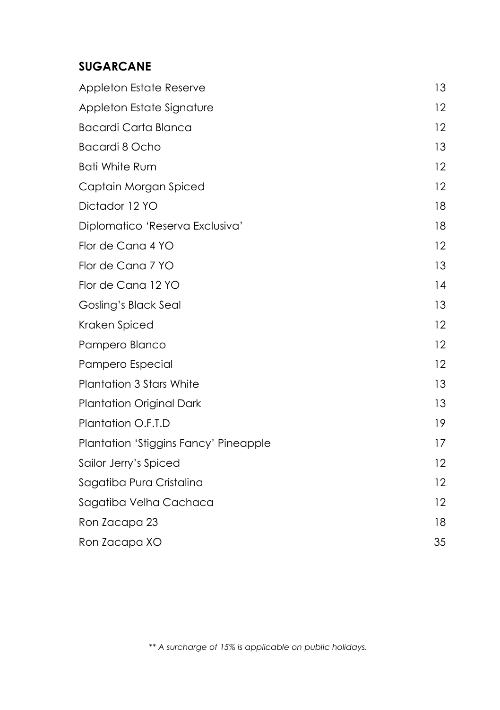#### **SUGARCANE**

| <b>Appleton Estate Reserve</b>        | 13 |
|---------------------------------------|----|
| Appleton Estate Signature             | 12 |
| <b>Bacardi Carta Blanca</b>           | 12 |
| Bacardi 8 Ocho                        | 13 |
| <b>Bati White Rum</b>                 | 12 |
| Captain Morgan Spiced                 | 12 |
| Dictador 12 YO                        | 18 |
| Diplomatico 'Reserva Exclusiva'       | 18 |
| Flor de Cana 4 YO                     | 12 |
| Flor de Cana 7 YO                     | 13 |
| Flor de Cana 12 YO                    | 14 |
| Gosling's Black Seal                  | 13 |
| Kraken Spiced                         | 12 |
| Pampero Blanco                        | 12 |
| Pampero Especial                      | 12 |
| <b>Plantation 3 Stars White</b>       | 13 |
| <b>Plantation Original Dark</b>       | 13 |
| Plantation O.F.T.D                    | 19 |
| Plantation 'Stiggins Fancy' Pineapple | 17 |
| Sailor Jerry's Spiced                 | 12 |
| Sagatiba Pura Cristalina              | 12 |
| Sagatiba Velha Cachaca                | 12 |
| Ron Zacapa 23                         | 18 |
| Ron Zacapa XO                         | 35 |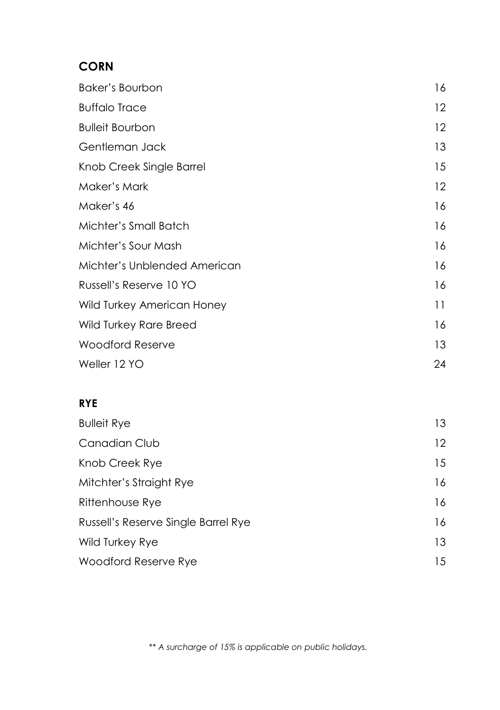#### **CORN**

| Baker's Bourbon              | 16 |
|------------------------------|----|
| <b>Buffalo Trace</b>         | 12 |
| <b>Bulleit Bourbon</b>       | 12 |
| Gentleman Jack               | 13 |
| Knob Creek Single Barrel     | 15 |
| Maker's Mark                 | 12 |
| Maker's 46                   | 16 |
| Michter's Small Batch        | 16 |
| Michter's Sour Mash          | 16 |
| Michter's Unblended American | 16 |
| Russell's Reserve 10 YO      | 16 |
| Wild Turkey American Honey   | 11 |
| Wild Turkey Rare Breed       | 16 |
| <b>Woodford Reserve</b>      | 13 |
| Weller 12 YO                 | 24 |

#### **RYE**

| <b>Bulleit Rye</b>                  | 13                |
|-------------------------------------|-------------------|
| Canadian Club                       | $12 \overline{ }$ |
| Knob Creek Rye                      | 15                |
| Mitchter's Straight Rye             | 16                |
| Rittenhouse Rye                     | 16                |
| Russell's Reserve Single Barrel Rye | 16                |
| <b>Wild Turkey Rye</b>              | 13                |
| Woodford Reserve Rye                | 15                |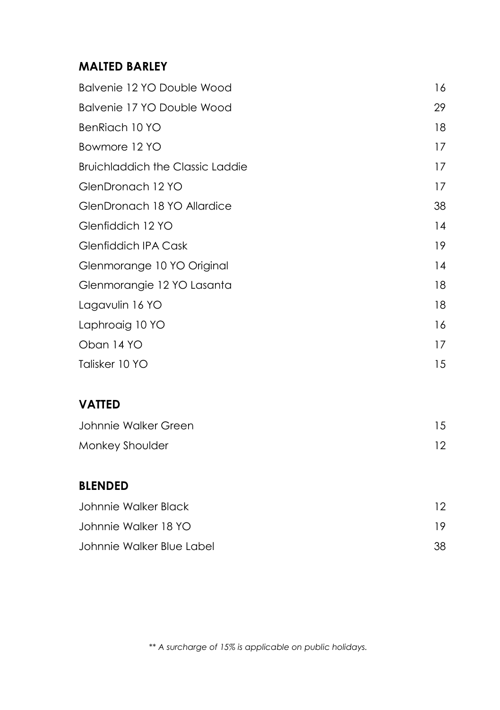#### **MALTED BARLEY**

| Balvenie 12 YO Double Wood              | 16 |
|-----------------------------------------|----|
| Balvenie 17 YO Double Wood              | 29 |
| BenRiach 10 YO                          | 18 |
| Bowmore 12 YO                           | 17 |
| <b>Bruichladdich the Classic Laddie</b> | 17 |
| GlenDronach 12 YO                       | 17 |
| GlenDronach 18 YO Allardice             | 38 |
| Glenfiddich 12 YO                       | 14 |
| Glenfiddich IPA Cask                    | 19 |
| Glenmorange 10 YO Original              | 14 |
| Glenmorangie 12 YO Lasanta              | 18 |
| Lagavulin 16 YO                         | 18 |
| Laphroaig 10 YO                         | 16 |
| Oban 14 YO                              | 17 |
| Talisker 10 YO                          | 15 |
| <b>VATTED</b>                           |    |
| Johnnie Walker Green                    | 15 |
| Monkey Shoulder                         | 12 |
| <b>BLENDED</b>                          |    |
| Johnnie Walker Black                    | 12 |
| Johnnie Walker 18 YO                    | 19 |

*\*\* A surcharge of 15% is applicable on public holidays.*

Johnnie Walker Blue Label 38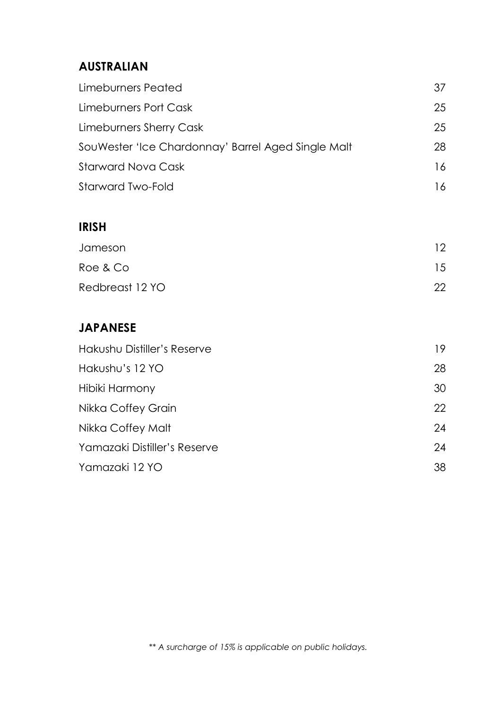### **AUSTRALIAN**

| Limeburners Peated                                 | 37 |
|----------------------------------------------------|----|
| Limeburners Port Cask                              | 25 |
| Limeburners Sherry Cask                            | 25 |
| SouWester 'Ice Chardonnay' Barrel Aged Single Malt | 28 |
| Starward Nova Cask                                 | 16 |
| Starward Two-Fold                                  | 16 |

#### **IRISH**

| Jameson         | 12 <sup>°</sup> |
|-----------------|-----------------|
| Roe & Co        | 15              |
| Redbreast 12 YO | 22              |

## **JAPANESE**

| Hakushu Distiller's Reserve  | 19 |
|------------------------------|----|
| Hakushu's 12 YO              | 28 |
| Hibiki Harmony               | 30 |
| Nikka Coffey Grain           | 22 |
| Nikka Coffey Malt            | 24 |
| Yamazaki Distiller's Reserve | 24 |
| Yamazaki 12 YO               | 38 |
|                              |    |